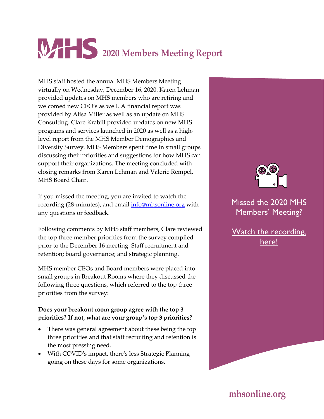# **2020 Members Meeting Report**

MHS staff hosted the annual MHS Members Meeting virtually on Wednesday, December 16, 2020. Karen Lehman provided updates on MHS members who are retiring and welcomed new CEO's as well. A financial report was provided by Alisa Miller as well as an update on MHS Consulting. Clare Krabill provided updates on new MHS programs and services launched in 2020 as well as a highlevel report from the MHS Member Demographics and Diversity Survey. MHS Members spent time in small groups discussing their priorities and suggestions for how MHS can support their organizations. The meeting concluded with closing remarks from Karen Lehman and Valerie Rempel, MHS Board Chair.

If you missed the meeting, you are invited to watch the recording (28-minutes), and email [info@mhsonline.org](mailto:info@mhsonline.org) with any questions or feedback.

Following comments by MHS staff members, Clare reviewed the top three member priorities from the survey compiled prior to the December 16 meeting: Staff recruitment and retention; board governance; and strategic planning.

MHS member CEOs and Board members were placed into small groups in Breakout Rooms where they discussed the following three questions, which referred to the top three priorities from the survey:

### **Does your breakout room group agree with the top 3 priorities? If not, what are your group's top 3 priorities?**

- There was general agreement about these being the top three priorities and that staff recruiting and retention is the most pressing need.
- With COVID's impact, there's less Strategic Planning going on these days for some organizations.



Missed the 2020 MHS Members' Meeting?

[Watch the recording,](https://vimeo.com/491819244/a4717fadc7)  [here!](https://vimeo.com/491819244/a4717fadc7)

**mhsonline.org**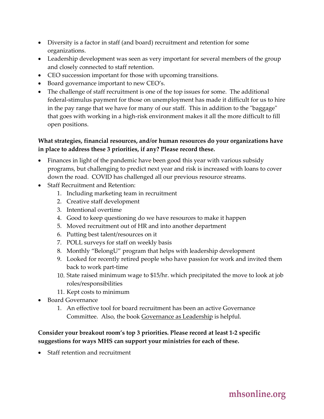- Diversity is a factor in staff (and board) recruitment and retention for some organizations.
- Leadership development was seen as very important for several members of the group and closely connected to staff retention.
- CEO succession important for those with upcoming transitions.
- Board governance important to new CEO's.
- The challenge of staff recruitment is one of the top issues for some. The additional federal-stimulus payment for those on unemployment has made it difficult for us to hire in the pay range that we have for many of our staff. This in addition to the "baggage" that goes with working in a high-risk environment makes it all the more difficult to fill open positions.

### **What strategies, financial resources, and/or human resources do your organizations have in place to address these 3 priorities, if any? Please record these.**

- Finances in light of the pandemic have been good this year with various subsidy programs, but challenging to predict next year and risk is increased with loans to cover down the road. COVID has challenged all our previous resource streams.
- Staff Recruitment and Retention:
	- 1. Including marketing team in recruitment
	- 2. Creative staff development
	- 3. Intentional overtime
	- 4. Good to keep questioning do we have resources to make it happen
	- 5. Moved recruitment out of HR and into another department
	- 6. Putting best talent/resources on it
	- 7. POLL surveys for staff on weekly basis
	- 8. Monthly "BelongU" program that helps with leadership development
	- 9. Looked for recently retired people who have passion for work and invited them back to work part-time
	- 10. State raised minimum wage to \$15/hr. which precipitated the move to look at job roles/responsibilities
	- 11. Kept costs to minimum
- Board Governance
	- 1. An effective tool for board recruitment has been an active Governance Committee. Also, the book Governance as Leadership is helpful.

### **Consider your breakout room's top 3 priorities. Please record at least 1-2 specific suggestions for ways MHS can support your ministries for each of these.**

• Staff retention and recruitment